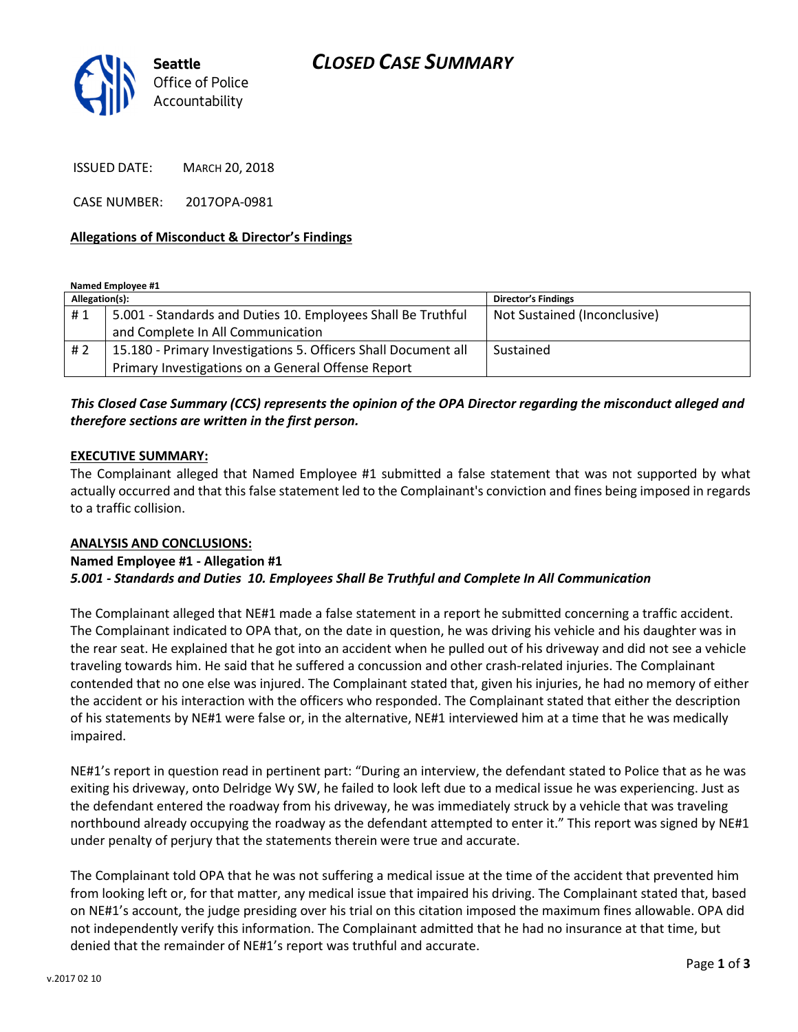## CLOSED CASE SUMMARY



ISSUED DATE: MARCH 20, 2018

CASE NUMBER: 2017OPA-0981

#### Allegations of Misconduct & Director's Findings

Named Employee #1

| Allegation(s): |                                                                | <b>Director's Findings</b>   |
|----------------|----------------------------------------------------------------|------------------------------|
| #1             | 5.001 - Standards and Duties 10. Employees Shall Be Truthful   | Not Sustained (Inconclusive) |
|                | and Complete In All Communication                              |                              |
| # 2            | 15.180 - Primary Investigations 5. Officers Shall Document all | Sustained                    |
|                | Primary Investigations on a General Offense Report             |                              |

### This Closed Case Summary (CCS) represents the opinion of the OPA Director regarding the misconduct alleged and therefore sections are written in the first person.

#### EXECUTIVE SUMMARY:

The Complainant alleged that Named Employee #1 submitted a false statement that was not supported by what actually occurred and that this false statement led to the Complainant's conviction and fines being imposed in regards to a traffic collision.

#### ANALYSIS AND CONCLUSIONS:

#### Named Employee #1 - Allegation #1

#### 5.001 - Standards and Duties 10. Employees Shall Be Truthful and Complete In All Communication

The Complainant alleged that NE#1 made a false statement in a report he submitted concerning a traffic accident. The Complainant indicated to OPA that, on the date in question, he was driving his vehicle and his daughter was in the rear seat. He explained that he got into an accident when he pulled out of his driveway and did not see a vehicle traveling towards him. He said that he suffered a concussion and other crash-related injuries. The Complainant contended that no one else was injured. The Complainant stated that, given his injuries, he had no memory of either the accident or his interaction with the officers who responded. The Complainant stated that either the description of his statements by NE#1 were false or, in the alternative, NE#1 interviewed him at a time that he was medically impaired.

NE#1's report in question read in pertinent part: "During an interview, the defendant stated to Police that as he was exiting his driveway, onto Delridge Wy SW, he failed to look left due to a medical issue he was experiencing. Just as the defendant entered the roadway from his driveway, he was immediately struck by a vehicle that was traveling northbound already occupying the roadway as the defendant attempted to enter it." This report was signed by NE#1 under penalty of perjury that the statements therein were true and accurate.

The Complainant told OPA that he was not suffering a medical issue at the time of the accident that prevented him from looking left or, for that matter, any medical issue that impaired his driving. The Complainant stated that, based on NE#1's account, the judge presiding over his trial on this citation imposed the maximum fines allowable. OPA did not independently verify this information. The Complainant admitted that he had no insurance at that time, but denied that the remainder of NE#1's report was truthful and accurate.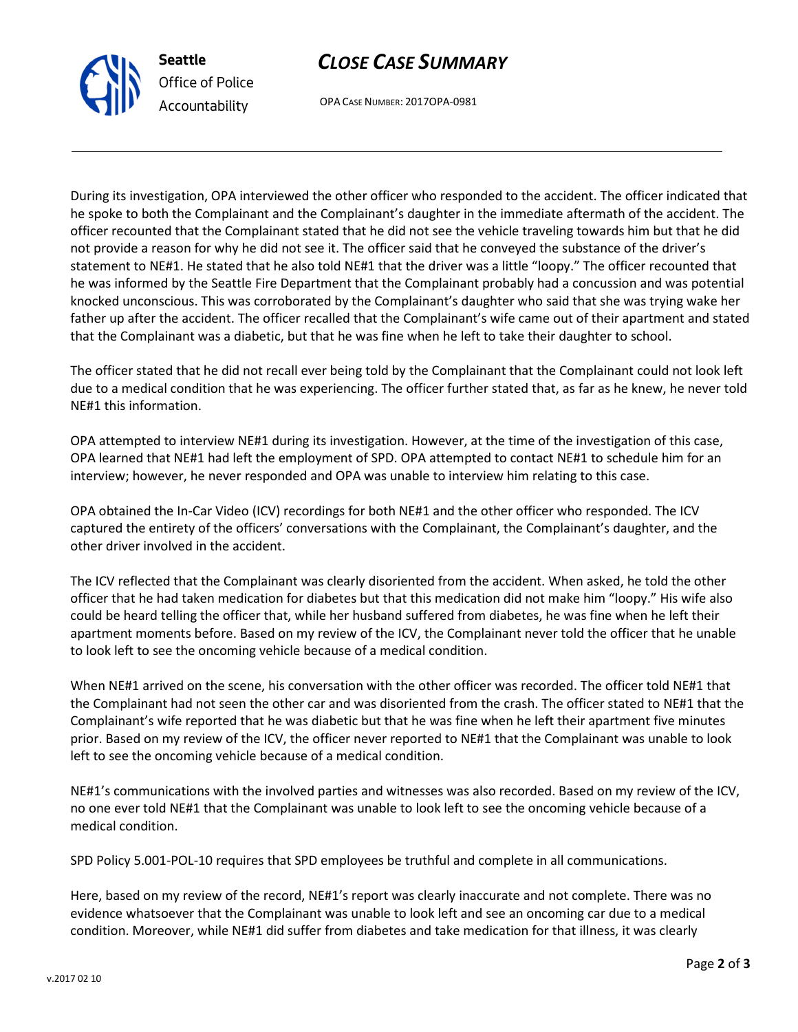# CLOSE CASE SUMMARY

OPA CASE NUMBER: 2017OPA-0981

Seattle

Office of Police Accountability

During its investigation, OPA interviewed the other officer who responded to the accident. The officer indicated that he spoke to both the Complainant and the Complainant's daughter in the immediate aftermath of the accident. The officer recounted that the Complainant stated that he did not see the vehicle traveling towards him but that he did not provide a reason for why he did not see it. The officer said that he conveyed the substance of the driver's statement to NE#1. He stated that he also told NE#1 that the driver was a little "loopy." The officer recounted that he was informed by the Seattle Fire Department that the Complainant probably had a concussion and was potential knocked unconscious. This was corroborated by the Complainant's daughter who said that she was trying wake her father up after the accident. The officer recalled that the Complainant's wife came out of their apartment and stated that the Complainant was a diabetic, but that he was fine when he left to take their daughter to school.

The officer stated that he did not recall ever being told by the Complainant that the Complainant could not look left due to a medical condition that he was experiencing. The officer further stated that, as far as he knew, he never told NE#1 this information.

OPA attempted to interview NE#1 during its investigation. However, at the time of the investigation of this case, OPA learned that NE#1 had left the employment of SPD. OPA attempted to contact NE#1 to schedule him for an interview; however, he never responded and OPA was unable to interview him relating to this case.

OPA obtained the In-Car Video (ICV) recordings for both NE#1 and the other officer who responded. The ICV captured the entirety of the officers' conversations with the Complainant, the Complainant's daughter, and the other driver involved in the accident.

The ICV reflected that the Complainant was clearly disoriented from the accident. When asked, he told the other officer that he had taken medication for diabetes but that this medication did not make him "loopy." His wife also could be heard telling the officer that, while her husband suffered from diabetes, he was fine when he left their apartment moments before. Based on my review of the ICV, the Complainant never told the officer that he unable to look left to see the oncoming vehicle because of a medical condition.

When NE#1 arrived on the scene, his conversation with the other officer was recorded. The officer told NE#1 that the Complainant had not seen the other car and was disoriented from the crash. The officer stated to NE#1 that the Complainant's wife reported that he was diabetic but that he was fine when he left their apartment five minutes prior. Based on my review of the ICV, the officer never reported to NE#1 that the Complainant was unable to look left to see the oncoming vehicle because of a medical condition.

NE#1's communications with the involved parties and witnesses was also recorded. Based on my review of the ICV, no one ever told NE#1 that the Complainant was unable to look left to see the oncoming vehicle because of a medical condition.

SPD Policy 5.001-POL-10 requires that SPD employees be truthful and complete in all communications.

Here, based on my review of the record, NE#1's report was clearly inaccurate and not complete. There was no evidence whatsoever that the Complainant was unable to look left and see an oncoming car due to a medical condition. Moreover, while NE#1 did suffer from diabetes and take medication for that illness, it was clearly